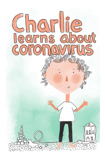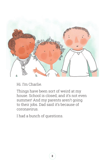

Hi. I'm Charlie.

Things have been sort of weird at my house. School is closed, and it's not even summer! And my parents aren't going to their jobs. Dad said it's because of coronavirus.

I had a bunch of questions.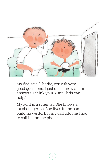

My dad said "Charlie, you ask very good questions. I just don't know all the answers! I think your Aunt Chris can help."

My aunt is a scientist. She knows a lot about germs. She lives in the same building we do. But my dad told me I had to call her on the phone.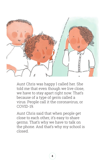

Aunt Chris was happy I called her. She told me that even though we live close, we have to stay apart right now. That's because of a type of germ called a virus. People call it the coronavirus, or COVID-19.

Aunt Chris said that when people get close to each other, it's easy to share germs. That's why we have to talk on the phone. And that's why my school is closed.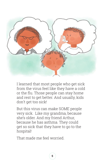

I learned that most people who get sick from the virus feel like they have a cold or the flu. Those people can stay home and rest to get better. And usually, kids don't get too sick!

But this virus can make SOME people very sick. Like my grandma, because she's older. And my friend Arthur, because he has asthma. They could get so sick that they have to go to the hospital!

That made me feel worried.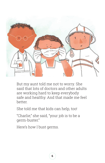

But my aunt told me not to worry. She said that lots of doctors and other adults are working hard to keep everybody safe and healthy. And that made me feel better.

She told me that kids can help, too!

"Charlie," she said, "your job is to be a germ-buster."

Here's how I bust germs.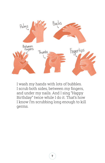

I wash my hands with lots of bubbles. I scrub both sides, between my fingers, and under my nails. And I sing "Happy Birthday" twice while I do it. That's how I know I'm scrubbing long enough to kill germs.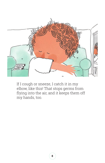

If I cough or sneeze, I catch it in my elbow, like this! That stops germs from flying into the air, and it keeps them off my hands, too.

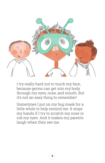

I try really hard not to touch my face, because germs can get into my body through my eyes, nose, and mouth. But it's not an easy thing to remember!

Sometimes I put on my bug mask for a little while to help remind me. It stops my hands if I try to scratch my nose or rub my eyes. And it makes my parents laugh when they see me.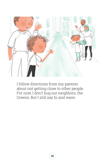

I follow directions from my parents about not getting close to other people. For now, I don't hug our neighbors, the Greens. But I still say hi and wave.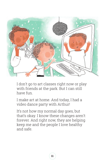

I don't go to art classes right now or play with friends at the park. But I can still have fun.

I make art at home. And today, I had a video dance party with Arthur!

It's not how my normal day goes, but that's okay. I know these changes aren't forever. And right now, they are helping keep me and the people I love healthy and safe.